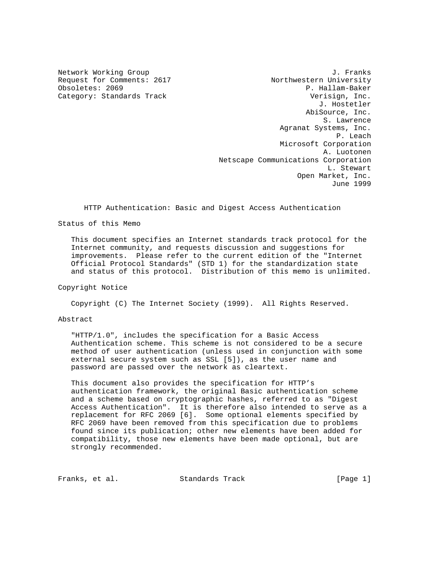Network Working Group 30 and 1. Franks Request for Comments: 2617 Northwestern University P. Hallam-Baker Category: Standards Track and the Category: Standards Track verisign, Inc. J. Hostetler AbiSource, Inc. S. Lawrence Agranat Systems, Inc. P. Leach Microsoft Corporation A. Luotonen Netscape Communications Corporation L. Stewart Open Market, Inc. June 1999

HTTP Authentication: Basic and Digest Access Authentication

# Status of this Memo

 This document specifies an Internet standards track protocol for the Internet community, and requests discussion and suggestions for improvements. Please refer to the current edition of the "Internet Official Protocol Standards" (STD 1) for the standardization state and status of this protocol. Distribution of this memo is unlimited.

Copyright Notice

Copyright (C) The Internet Society (1999). All Rights Reserved.

Abstract

 "HTTP/1.0", includes the specification for a Basic Access Authentication scheme. This scheme is not considered to be a secure method of user authentication (unless used in conjunction with some external secure system such as SSL [5]), as the user name and password are passed over the network as cleartext.

 This document also provides the specification for HTTP's authentication framework, the original Basic authentication scheme and a scheme based on cryptographic hashes, referred to as "Digest Access Authentication". It is therefore also intended to serve as a replacement for RFC 2069 [6]. Some optional elements specified by RFC 2069 have been removed from this specification due to problems found since its publication; other new elements have been added for compatibility, those new elements have been made optional, but are strongly recommended.

Franks, et al. Standards Track [Page 1]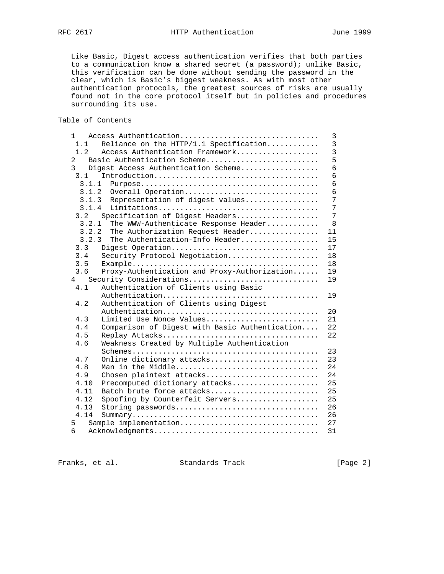Like Basic, Digest access authentication verifies that both parties to a communication know a shared secret (a password); unlike Basic, this verification can be done without sending the password in the clear, which is Basic's biggest weakness. As with most other authentication protocols, the greatest sources of risks are usually found not in the core protocol itself but in policies and procedures surrounding its use.

Table of Contents

|                                                       | $\mathbf{1}$                                       | Access Authentication                          | 3                                |  |  |
|-------------------------------------------------------|----------------------------------------------------|------------------------------------------------|----------------------------------|--|--|
|                                                       | 1.1                                                | Reliance on the HTTP/1.1 Specification         | $\overline{3}$<br>$\overline{3}$ |  |  |
|                                                       | 1.2<br>Access Authentication Framework             |                                                |                                  |  |  |
| $\overline{2}$<br>Basic Authentication Scheme         |                                                    |                                                |                                  |  |  |
| $\overline{3}$<br>Digest Access Authentication Scheme |                                                    |                                                |                                  |  |  |
|                                                       | 3.1                                                |                                                | 6                                |  |  |
|                                                       | 3.1.1                                              |                                                | 6                                |  |  |
|                                                       | 3.1.2                                              | Overall Operation                              | 6                                |  |  |
|                                                       | 3.1.3                                              | Representation of digest values                | 7                                |  |  |
| 3.1.4                                                 |                                                    |                                                |                                  |  |  |
|                                                       | 3.2                                                | Specification of Digest Headers                | 7                                |  |  |
|                                                       | 3.2.1                                              | The WWW-Authenticate Response Header           | 8                                |  |  |
|                                                       | 3.2.2                                              | The Authorization Request Header               | 11                               |  |  |
|                                                       | 3.2.3                                              | The Authentication-Info Header                 | 15                               |  |  |
|                                                       | 3.3                                                | Digest Operation                               | 17                               |  |  |
|                                                       | 3.4                                                | Security Protocol Negotiation                  | 18                               |  |  |
|                                                       | 3.5                                                |                                                | 18                               |  |  |
|                                                       | 3.6                                                | Proxy-Authentication and Proxy-Authorization   | 19                               |  |  |
|                                                       | 4                                                  | Security Considerations                        | 19                               |  |  |
|                                                       | 4.1                                                | Authentication of Clients using Basic          |                                  |  |  |
|                                                       |                                                    | Authentication                                 | 19                               |  |  |
|                                                       | 4.2                                                | Authentication of Clients using Digest         |                                  |  |  |
|                                                       |                                                    | Authentication                                 | 20                               |  |  |
|                                                       | 4.3                                                | Limited Use Nonce Values                       | 21                               |  |  |
|                                                       | 4.4                                                | Comparison of Digest with Basic Authentication | 22                               |  |  |
|                                                       | 4.5                                                |                                                | 22                               |  |  |
|                                                       | Weakness Created by Multiple Authentication<br>4.6 |                                                |                                  |  |  |
|                                                       |                                                    |                                                | 23                               |  |  |
|                                                       | 4.7                                                | Online dictionary attacks                      | 23                               |  |  |
|                                                       | 4.8                                                | Man in the Middle                              | 24                               |  |  |
|                                                       | 4.9                                                | Chosen plaintext attacks                       | 24                               |  |  |
|                                                       | 4.10                                               | Precomputed dictionary attacks                 | 25                               |  |  |
|                                                       | 4.11                                               | Batch brute force attacks                      | 25                               |  |  |
|                                                       | 4.12                                               | Spoofing by Counterfeit Servers                | 25                               |  |  |
|                                                       | 4.13                                               | Storing passwords                              | 26                               |  |  |
|                                                       | 4.14                                               |                                                | 26                               |  |  |
|                                                       | 5                                                  | Sample implementation                          | 27                               |  |  |
|                                                       | 6                                                  |                                                | 31                               |  |  |

Franks, et al. Standards Track [Page 2]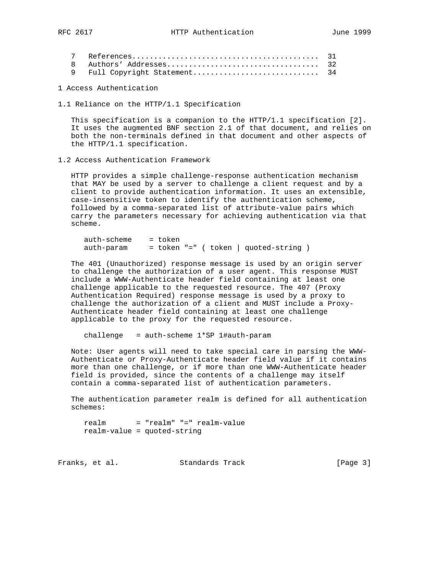1 Access Authentication

1.1 Reliance on the HTTP/1.1 Specification

 This specification is a companion to the HTTP/1.1 specification [2]. It uses the augmented BNF section 2.1 of that document, and relies on both the non-terminals defined in that document and other aspects of the HTTP/1.1 specification.

1.2 Access Authentication Framework

 HTTP provides a simple challenge-response authentication mechanism that MAY be used by a server to challenge a client request and by a client to provide authentication information. It uses an extensible, case-insensitive token to identify the authentication scheme, followed by a comma-separated list of attribute-value pairs which carry the parameters necessary for achieving authentication via that scheme.

auth-scheme = token  $auth-param = token "=" (token | quoted-string)$ 

 The 401 (Unauthorized) response message is used by an origin server to challenge the authorization of a user agent. This response MUST include a WWW-Authenticate header field containing at least one challenge applicable to the requested resource. The 407 (Proxy Authentication Required) response message is used by a proxy to challenge the authorization of a client and MUST include a Proxy- Authenticate header field containing at least one challenge applicable to the proxy for the requested resource.

challenge = auth-scheme 1\*SP 1#auth-param

 Note: User agents will need to take special care in parsing the WWW- Authenticate or Proxy-Authenticate header field value if it contains more than one challenge, or if more than one WWW-Authenticate header field is provided, since the contents of a challenge may itself contain a comma-separated list of authentication parameters.

 The authentication parameter realm is defined for all authentication schemes:

 realm = "realm" "=" realm-value realm-value = quoted-string

Franks, et al. Standards Track [Page 3]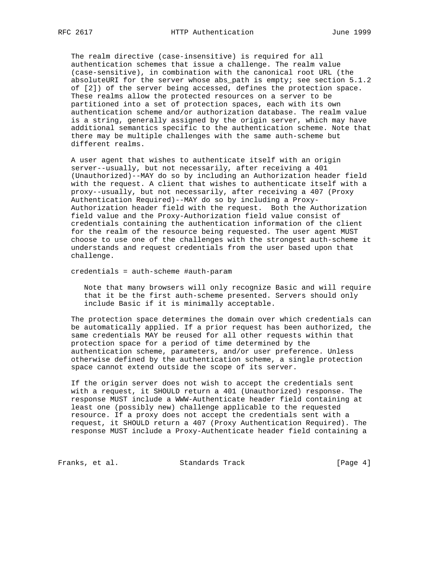The realm directive (case-insensitive) is required for all authentication schemes that issue a challenge. The realm value (case-sensitive), in combination with the canonical root URL (the absoluteURI for the server whose abs\_path is empty; see section 5.1.2 of [2]) of the server being accessed, defines the protection space. These realms allow the protected resources on a server to be partitioned into a set of protection spaces, each with its own authentication scheme and/or authorization database. The realm value is a string, generally assigned by the origin server, which may have additional semantics specific to the authentication scheme. Note that there may be multiple challenges with the same auth-scheme but different realms.

 A user agent that wishes to authenticate itself with an origin server--usually, but not necessarily, after receiving a 401 (Unauthorized)--MAY do so by including an Authorization header field with the request. A client that wishes to authenticate itself with a proxy--usually, but not necessarily, after receiving a 407 (Proxy Authentication Required)--MAY do so by including a Proxy- Authorization header field with the request. Both the Authorization field value and the Proxy-Authorization field value consist of credentials containing the authentication information of the client for the realm of the resource being requested. The user agent MUST choose to use one of the challenges with the strongest auth-scheme it understands and request credentials from the user based upon that challenge.

credentials = auth-scheme #auth-param

 Note that many browsers will only recognize Basic and will require that it be the first auth-scheme presented. Servers should only include Basic if it is minimally acceptable.

 The protection space determines the domain over which credentials can be automatically applied. If a prior request has been authorized, the same credentials MAY be reused for all other requests within that protection space for a period of time determined by the authentication scheme, parameters, and/or user preference. Unless otherwise defined by the authentication scheme, a single protection space cannot extend outside the scope of its server.

 If the origin server does not wish to accept the credentials sent with a request, it SHOULD return a 401 (Unauthorized) response. The response MUST include a WWW-Authenticate header field containing at least one (possibly new) challenge applicable to the requested resource. If a proxy does not accept the credentials sent with a request, it SHOULD return a 407 (Proxy Authentication Required). The response MUST include a Proxy-Authenticate header field containing a

Franks, et al. Standards Track [Page 4]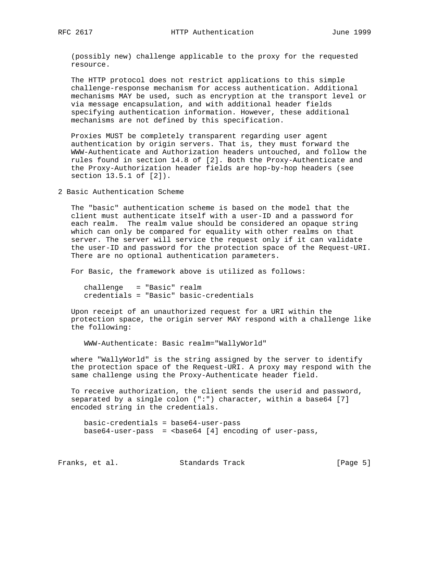(possibly new) challenge applicable to the proxy for the requested resource.

 The HTTP protocol does not restrict applications to this simple challenge-response mechanism for access authentication. Additional mechanisms MAY be used, such as encryption at the transport level or via message encapsulation, and with additional header fields specifying authentication information. However, these additional mechanisms are not defined by this specification.

 Proxies MUST be completely transparent regarding user agent authentication by origin servers. That is, they must forward the WWW-Authenticate and Authorization headers untouched, and follow the rules found in section 14.8 of [2]. Both the Proxy-Authenticate and the Proxy-Authorization header fields are hop-by-hop headers (see section 13.5.1 of [2]).

2 Basic Authentication Scheme

 The "basic" authentication scheme is based on the model that the client must authenticate itself with a user-ID and a password for each realm. The realm value should be considered an opaque string which can only be compared for equality with other realms on that server. The server will service the request only if it can validate the user-ID and password for the protection space of the Request-URI. There are no optional authentication parameters.

For Basic, the framework above is utilized as follows:

 challenge = "Basic" realm credentials = "Basic" basic-credentials

 Upon receipt of an unauthorized request for a URI within the protection space, the origin server MAY respond with a challenge like the following:

WWW-Authenticate: Basic realm="WallyWorld"

 where "WallyWorld" is the string assigned by the server to identify the protection space of the Request-URI. A proxy may respond with the same challenge using the Proxy-Authenticate header field.

 To receive authorization, the client sends the userid and password, separated by a single colon (":") character, within a base64 [7] encoded string in the credentials.

 basic-credentials = base64-user-pass base64-user-pass =  $<$ base64 [4] encoding of user-pass,

Franks, et al. Standards Track [Page 5]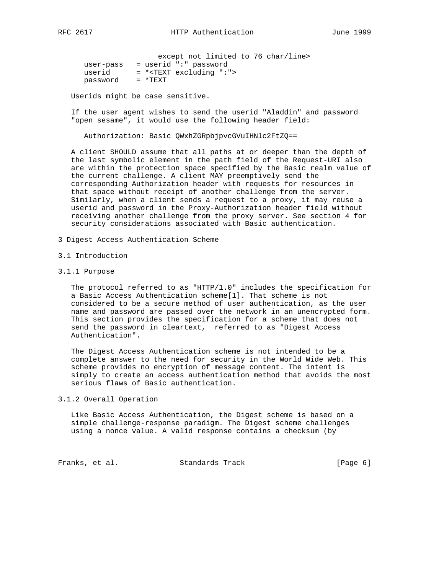except not limited to 76 char/line> user-pass = userid ":" password userid = \*<TEXT excluding ":"> password = \*TEXT

Userids might be case sensitive.

 If the user agent wishes to send the userid "Aladdin" and password "open sesame", it would use the following header field:

Authorization: Basic QWxhZGRpbjpvcGVuIHNlc2FtZQ==

 A client SHOULD assume that all paths at or deeper than the depth of the last symbolic element in the path field of the Request-URI also are within the protection space specified by the Basic realm value of the current challenge. A client MAY preemptively send the corresponding Authorization header with requests for resources in that space without receipt of another challenge from the server. Similarly, when a client sends a request to a proxy, it may reuse a userid and password in the Proxy-Authorization header field without receiving another challenge from the proxy server. See section 4 for security considerations associated with Basic authentication.

- 3 Digest Access Authentication Scheme
- 3.1 Introduction
- 3.1.1 Purpose

 The protocol referred to as "HTTP/1.0" includes the specification for a Basic Access Authentication scheme[1]. That scheme is not considered to be a secure method of user authentication, as the user name and password are passed over the network in an unencrypted form. This section provides the specification for a scheme that does not send the password in cleartext, referred to as "Digest Access Authentication".

 The Digest Access Authentication scheme is not intended to be a complete answer to the need for security in the World Wide Web. This scheme provides no encryption of message content. The intent is simply to create an access authentication method that avoids the most serious flaws of Basic authentication.

3.1.2 Overall Operation

 Like Basic Access Authentication, the Digest scheme is based on a simple challenge-response paradigm. The Digest scheme challenges using a nonce value. A valid response contains a checksum (by

Franks, et al. Standards Track [Page 6]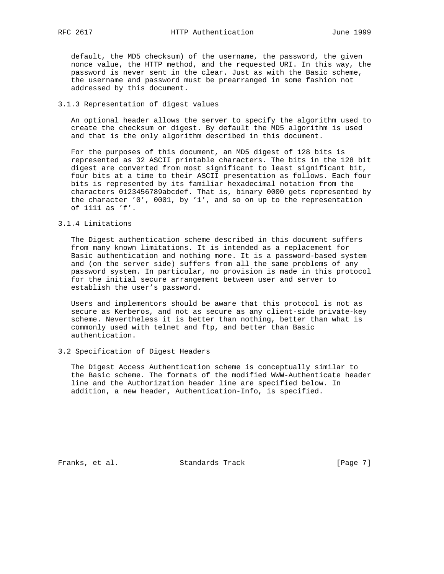default, the MD5 checksum) of the username, the password, the given nonce value, the HTTP method, and the requested URI. In this way, the password is never sent in the clear. Just as with the Basic scheme, the username and password must be prearranged in some fashion not addressed by this document.

## 3.1.3 Representation of digest values

 An optional header allows the server to specify the algorithm used to create the checksum or digest. By default the MD5 algorithm is used and that is the only algorithm described in this document.

 For the purposes of this document, an MD5 digest of 128 bits is represented as 32 ASCII printable characters. The bits in the 128 bit digest are converted from most significant to least significant bit, four bits at a time to their ASCII presentation as follows. Each four bits is represented by its familiar hexadecimal notation from the characters 0123456789abcdef. That is, binary 0000 gets represented by the character '0', 0001, by '1', and so on up to the representation of 1111 as 'f'.

### 3.1.4 Limitations

 The Digest authentication scheme described in this document suffers from many known limitations. It is intended as a replacement for Basic authentication and nothing more. It is a password-based system and (on the server side) suffers from all the same problems of any password system. In particular, no provision is made in this protocol for the initial secure arrangement between user and server to establish the user's password.

 Users and implementors should be aware that this protocol is not as secure as Kerberos, and not as secure as any client-side private-key scheme. Nevertheless it is better than nothing, better than what is commonly used with telnet and ftp, and better than Basic authentication.

## 3.2 Specification of Digest Headers

 The Digest Access Authentication scheme is conceptually similar to the Basic scheme. The formats of the modified WWW-Authenticate header line and the Authorization header line are specified below. In addition, a new header, Authentication-Info, is specified.

Franks, et al. Standards Track [Page 7]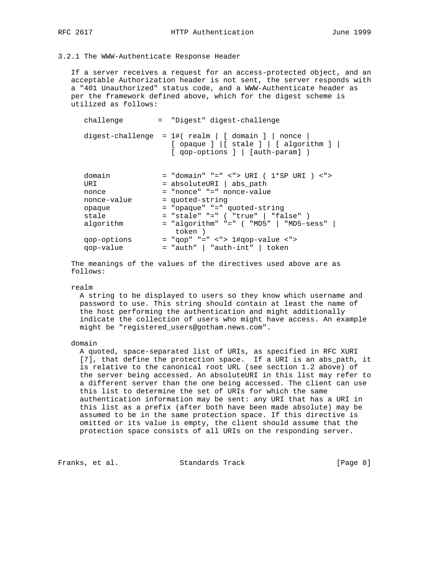# 3.2.1 The WWW-Authenticate Response Header

 If a server receives a request for an access-protected object, and an acceptable Authorization header is not sent, the server responds with a "401 Unauthorized" status code, and a WWW-Authenticate header as per the framework defined above, which for the digest scheme is utilized as follows:

| challenge                                       | = "Digest" digest-challenge                                                                                                                           |
|-------------------------------------------------|-------------------------------------------------------------------------------------------------------------------------------------------------------|
|                                                 | digest-challenge = $1\#$ (realm   [ domain ]   nonce<br>$[opaque]   [ stale ]   [ algorithm ]  $<br>[ qop-options ]   [auth-param] )                  |
| domain<br>URI<br>nonce<br>nonce-value<br>opaque | = "domain" "=" <"> URI ( $1*SP$ URI ) <"><br>= absoluteURI   abs_path<br>= "nonce" "=" nonce-value<br>= quoted-string<br>= "opaque" "=" quoted-string |
| stale                                           | = "stale" "=" ( "true"   "false" )                                                                                                                    |
| algorithm                                       | $=$ "algorithm" "=" ( "MD5"   "MD5-sess"  <br>token)                                                                                                  |
| qop-options                                     | $=$ "qop" "=" <"> 1#qop-value <">                                                                                                                     |

 The meanings of the values of the directives used above are as follows:

qop-value = "auth" | "auth-int" | token

#### realm

 A string to be displayed to users so they know which username and password to use. This string should contain at least the name of the host performing the authentication and might additionally indicate the collection of users who might have access. An example might be "registered\_users@gotham.news.com".

## domain

 A quoted, space-separated list of URIs, as specified in RFC XURI [7], that define the protection space. If a URI is an abs\_path, it is relative to the canonical root URL (see section 1.2 above) of the server being accessed. An absoluteURI in this list may refer to a different server than the one being accessed. The client can use this list to determine the set of URIs for which the same authentication information may be sent: any URI that has a URI in this list as a prefix (after both have been made absolute) may be assumed to be in the same protection space. If this directive is omitted or its value is empty, the client should assume that the protection space consists of all URIs on the responding server.

Franks, et al. Standards Track [Page 8]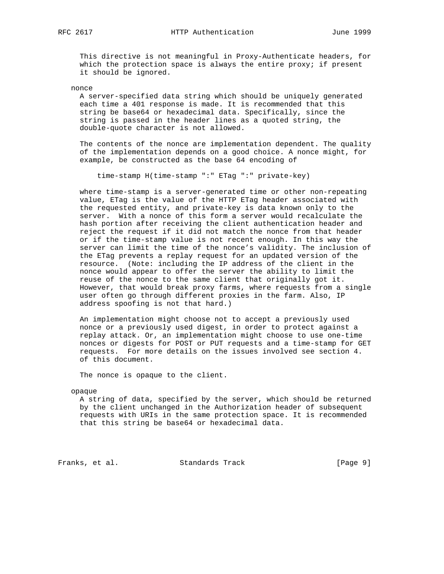RFC 2617 **HTTP Authentication** June 1999

 This directive is not meaningful in Proxy-Authenticate headers, for which the protection space is always the entire proxy; if present it should be ignored.

nonce

 A server-specified data string which should be uniquely generated each time a 401 response is made. It is recommended that this string be base64 or hexadecimal data. Specifically, since the string is passed in the header lines as a quoted string, the double-quote character is not allowed.

 The contents of the nonce are implementation dependent. The quality of the implementation depends on a good choice. A nonce might, for example, be constructed as the base 64 encoding of

time-stamp H(time-stamp ":" ETag ":" private-key)

 where time-stamp is a server-generated time or other non-repeating value, ETag is the value of the HTTP ETag header associated with the requested entity, and private-key is data known only to the server. With a nonce of this form a server would recalculate the hash portion after receiving the client authentication header and reject the request if it did not match the nonce from that header or if the time-stamp value is not recent enough. In this way the server can limit the time of the nonce's validity. The inclusion of the ETag prevents a replay request for an updated version of the resource. (Note: including the IP address of the client in the nonce would appear to offer the server the ability to limit the reuse of the nonce to the same client that originally got it. However, that would break proxy farms, where requests from a single user often go through different proxies in the farm. Also, IP address spoofing is not that hard.)

 An implementation might choose not to accept a previously used nonce or a previously used digest, in order to protect against a replay attack. Or, an implementation might choose to use one-time nonces or digests for POST or PUT requests and a time-stamp for GET requests. For more details on the issues involved see section 4. of this document.

The nonce is opaque to the client.

opaque

 A string of data, specified by the server, which should be returned by the client unchanged in the Authorization header of subsequent requests with URIs in the same protection space. It is recommended that this string be base64 or hexadecimal data.

Franks, et al. Standards Track [Page 9]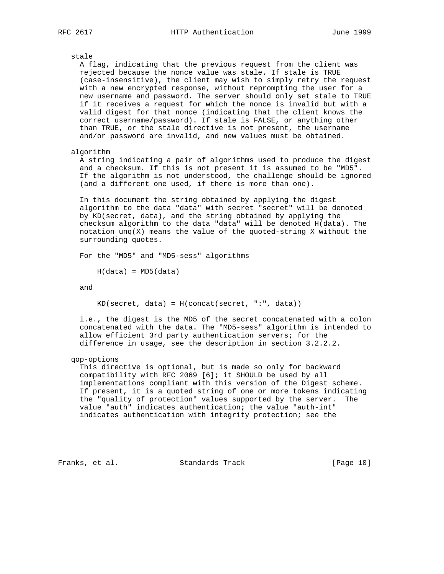stale A flag, indicating that the previous request from the client was rejected because the nonce value was stale. If stale is TRUE (case-insensitive), the client may wish to simply retry the request with a new encrypted response, without reprompting the user for a new username and password. The server should only set stale to TRUE if it receives a request for which the nonce is invalid but with a valid digest for that nonce (indicating that the client knows the correct username/password). If stale is FALSE, or anything other than TRUE, or the stale directive is not present, the username and/or password are invalid, and new values must be obtained. algorithm

 A string indicating a pair of algorithms used to produce the digest and a checksum. If this is not present it is assumed to be "MD5". If the algorithm is not understood, the challenge should be ignored (and a different one used, if there is more than one).

 In this document the string obtained by applying the digest algorithm to the data "data" with secret "secret" will be denoted by KD(secret, data), and the string obtained by applying the checksum algorithm to the data "data" will be denoted H(data). The notation  $ung(X)$  means the value of the quoted-string X without the surrounding quotes.

For the "MD5" and "MD5-sess" algorithms

 $H(data) = MD5(data)$ 

and

 $KD(\text{secret}, \text{data}) = H(\text{concat}(\text{secret}, \text{ " : " , data}) )$ 

 i.e., the digest is the MD5 of the secret concatenated with a colon concatenated with the data. The "MD5-sess" algorithm is intended to allow efficient 3rd party authentication servers; for the difference in usage, see the description in section 3.2.2.2.

qop-options

 This directive is optional, but is made so only for backward compatibility with RFC 2069 [6]; it SHOULD be used by all implementations compliant with this version of the Digest scheme. If present, it is a quoted string of one or more tokens indicating the "quality of protection" values supported by the server. The value "auth" indicates authentication; the value "auth-int" indicates authentication with integrity protection; see the

Franks, et al. Standards Track [Page 10]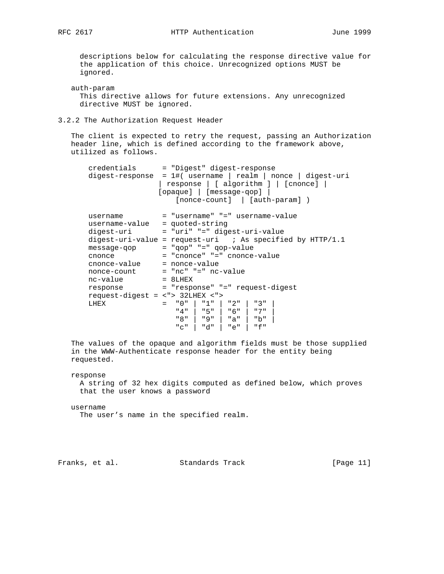descriptions below for calculating the response directive value for the application of this choice. Unrecognized options MUST be ignored.

 auth-param This directive allows for future extensions. Any unrecognized directive MUST be ignored.

3.2.2 The Authorization Request Header

 The client is expected to retry the request, passing an Authorization header line, which is defined according to the framework above, utilized as follows.

```
 credentials = "Digest" digest-response
       digest-response = 1#( username | realm | nonce | digest-uri
                      | response | [ algorithm ] | [cnonce] |
                     [opaque] | [message-qop] |
                         [nonce-count] | [auth-param] )
      username = "username" "=" username-value
       username-value = quoted-string
       digest-uri = "uri" "=" digest-uri-value
      digest-uri-value = request-uri ; As specified by HTTP/1.1message-qop = "qop" "=" qop-value"cnonce = "cnonce" = "=" cnonce-value
 cnonce-value = nonce-value
 nonce-count = "nc" "=" nc-value
     nc-value = 8LHEX<br>response = "respo
                     response = "response" "=" request-digest
       request-digest = <"> 32LHEX <">
 LHEX = "0" | "1" | "2" | "3" |
 "4" | "5" | "6" | "7" |
                         "8" | "9" | "a" | "b" |
                         "c" | "d" | "e" | "f"
```
 The values of the opaque and algorithm fields must be those supplied in the WWW-Authenticate response header for the entity being requested.

 response A string of 32 hex digits computed as defined below, which proves that the user knows a password

 username The user's name in the specified realm.

Franks, et al. Standards Track [Page 11]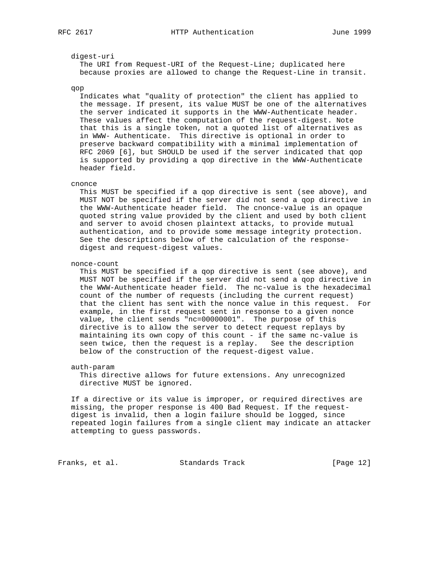#### digest-uri

 The URI from Request-URI of the Request-Line; duplicated here because proxies are allowed to change the Request-Line in transit.

#### qop

 Indicates what "quality of protection" the client has applied to the message. If present, its value MUST be one of the alternatives the server indicated it supports in the WWW-Authenticate header. These values affect the computation of the request-digest. Note that this is a single token, not a quoted list of alternatives as in WWW- Authenticate. This directive is optional in order to preserve backward compatibility with a minimal implementation of RFC 2069 [6], but SHOULD be used if the server indicated that qop is supported by providing a qop directive in the WWW-Authenticate header field.

#### cnonce

 This MUST be specified if a qop directive is sent (see above), and MUST NOT be specified if the server did not send a qop directive in the WWW-Authenticate header field. The cnonce-value is an opaque quoted string value provided by the client and used by both client and server to avoid chosen plaintext attacks, to provide mutual authentication, and to provide some message integrity protection. See the descriptions below of the calculation of the response digest and request-digest values.

#### nonce-count

 This MUST be specified if a qop directive is sent (see above), and MUST NOT be specified if the server did not send a qop directive in the WWW-Authenticate header field. The nc-value is the hexadecimal count of the number of requests (including the current request) that the client has sent with the nonce value in this request. For example, in the first request sent in response to a given nonce value, the client sends "nc=00000001". The purpose of this directive is to allow the server to detect request replays by maintaining its own copy of this count - if the same nc-value is seen twice, then the request is a replay. See the description below of the construction of the request-digest value.

#### auth-param

 This directive allows for future extensions. Any unrecognized directive MUST be ignored.

 If a directive or its value is improper, or required directives are missing, the proper response is 400 Bad Request. If the request digest is invalid, then a login failure should be logged, since repeated login failures from a single client may indicate an attacker attempting to guess passwords.

Franks, et al. Standards Track [Page 12]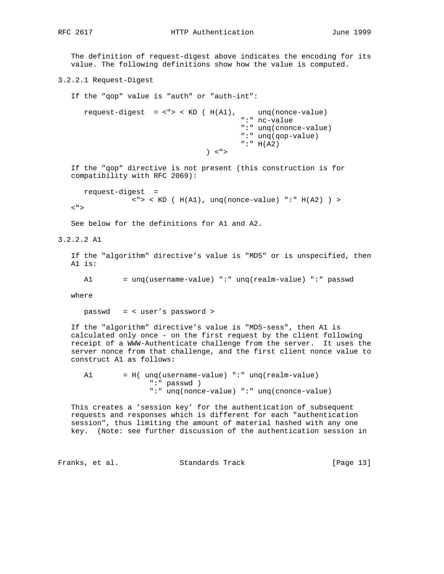RFC 2617 **HTTP Authentication** June 1999

 The definition of request-digest above indicates the encoding for its value. The following definitions show how the value is computed.

3.2.2.1 Request-Digest

 If the "qop" value is "auth" or "auth-int": request-digest =  $\langle$ ">  $\times$  KD ( H(A1), unq(nonce-value) ":" nc-value ":" unq(cnonce-value) ":" unq(qop-value) ":" H(A2)  $\vert$  < " > If the "qop" directive is not present (this construction is for compatibility with RFC 2069): request-digest =  $\langle$  ">  $\langle$  KD ( H(A1), unq(nonce-value) ":" H(A2) ) >  $<$ " $>$  See below for the definitions for A1 and A2. 3.2.2.2 A1 If the "algorithm" directive's value is "MD5" or is unspecified, then A1 is: A1 = unq(username-value) ":" unq(realm-value) ":" passwd where passwd = < user's password > If the "algorithm" directive's value is "MD5-sess", then A1 is calculated only once - on the first request by the client following receipt of a WWW-Authenticate challenge from the server. It uses the server nonce from that challenge, and the first client nonce value to construct A1 as follows: A1 = H( unq(username-value) ":" unq(realm-value) ":" passwd ) ":" unq(nonce-value) ":" unq(cnonce-value)

 This creates a 'session key' for the authentication of subsequent requests and responses which is different for each "authentication session", thus limiting the amount of material hashed with any one key. (Note: see further discussion of the authentication session in

Franks, et al. Standards Track [Page 13]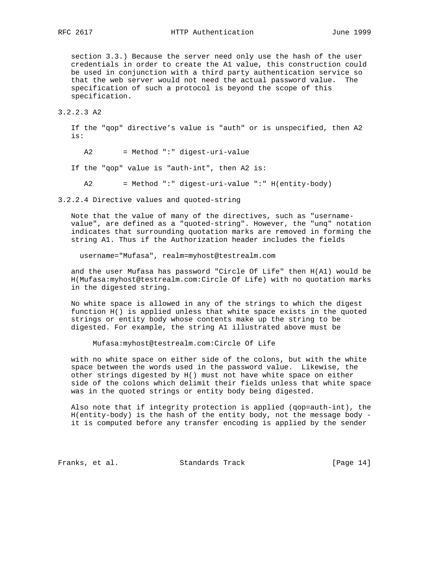section 3.3.) Because the server need only use the hash of the user credentials in order to create the A1 value, this construction could be used in conjunction with a third party authentication service so that the web server would not need the actual password value. The specification of such a protocol is beyond the scope of this specification.

# 3.2.2.3 A2

 If the "qop" directive's value is "auth" or is unspecified, then A2 is:

A2 = Method ":" digest-uri-value

If the "qop" value is "auth-int", then A2 is:

A2 = Method ":" digest-uri-value ":" H(entity-body)

3.2.2.4 Directive values and quoted-string

 Note that the value of many of the directives, such as "username value", are defined as a "quoted-string". However, the "unq" notation indicates that surrounding quotation marks are removed in forming the string A1. Thus if the Authorization header includes the fields

username="Mufasa", realm=myhost@testrealm.com

 and the user Mufasa has password "Circle Of Life" then H(A1) would be H(Mufasa:myhost@testrealm.com:Circle Of Life) with no quotation marks in the digested string.

 No white space is allowed in any of the strings to which the digest function H() is applied unless that white space exists in the quoted strings or entity body whose contents make up the string to be digested. For example, the string A1 illustrated above must be

Mufasa:myhost@testrealm.com:Circle Of Life

 with no white space on either side of the colons, but with the white space between the words used in the password value. Likewise, the other strings digested by H() must not have white space on either side of the colons which delimit their fields unless that white space was in the quoted strings or entity body being digested.

 Also note that if integrity protection is applied (qop=auth-int), the H(entity-body) is the hash of the entity body, not the message body it is computed before any transfer encoding is applied by the sender

Franks, et al. Standards Track [Page 14]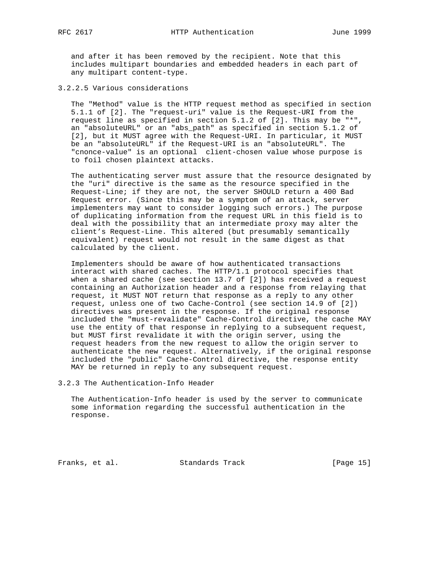and after it has been removed by the recipient. Note that this includes multipart boundaries and embedded headers in each part of any multipart content-type.

3.2.2.5 Various considerations

 The "Method" value is the HTTP request method as specified in section 5.1.1 of [2]. The "request-uri" value is the Request-URI from the request line as specified in section 5.1.2 of [2]. This may be "\*", an "absoluteURL" or an "abs\_path" as specified in section 5.1.2 of [2], but it MUST agree with the Request-URI. In particular, it MUST be an "absoluteURL" if the Request-URI is an "absoluteURL". The "cnonce-value" is an optional client-chosen value whose purpose is to foil chosen plaintext attacks.

 The authenticating server must assure that the resource designated by the "uri" directive is the same as the resource specified in the Request-Line; if they are not, the server SHOULD return a 400 Bad Request error. (Since this may be a symptom of an attack, server implementers may want to consider logging such errors.) The purpose of duplicating information from the request URL in this field is to deal with the possibility that an intermediate proxy may alter the client's Request-Line. This altered (but presumably semantically equivalent) request would not result in the same digest as that calculated by the client.

 Implementers should be aware of how authenticated transactions interact with shared caches. The HTTP/1.1 protocol specifies that when a shared cache (see section 13.7 of [2]) has received a request containing an Authorization header and a response from relaying that request, it MUST NOT return that response as a reply to any other request, unless one of two Cache-Control (see section 14.9 of [2]) directives was present in the response. If the original response included the "must-revalidate" Cache-Control directive, the cache MAY use the entity of that response in replying to a subsequent request, but MUST first revalidate it with the origin server, using the request headers from the new request to allow the origin server to authenticate the new request. Alternatively, if the original response included the "public" Cache-Control directive, the response entity MAY be returned in reply to any subsequent request.

3.2.3 The Authentication-Info Header

 The Authentication-Info header is used by the server to communicate some information regarding the successful authentication in the response.

Franks, et al. Standards Track [Page 15]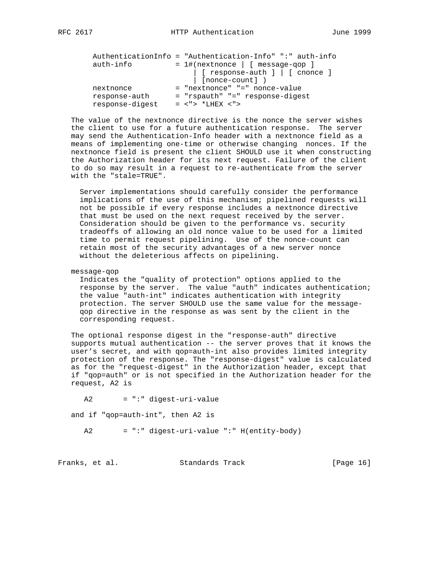|                 | AuthenticationInfo = "Authentication-Info" ":" auth-info |
|-----------------|----------------------------------------------------------|
| auth-info       | $= 1$ #(nextnonce   [ message-gop ]                      |
|                 | $[$ response-auth $]$ $[$ $]$ $[$ cnonce $]$             |
|                 | [nonce-count])                                           |
| nextnonce       | = "nextnonce" "=" nonce-value                            |
| response-auth   | = "rspauth" "=" response-digest                          |
| response-digest | $=$ $\lt$ "> *LHEX $\lt$ ">                              |

 The value of the nextnonce directive is the nonce the server wishes the client to use for a future authentication response. The server may send the Authentication-Info header with a nextnonce field as a means of implementing one-time or otherwise changing nonces. If the nextnonce field is present the client SHOULD use it when constructing the Authorization header for its next request. Failure of the client to do so may result in a request to re-authenticate from the server with the "stale=TRUE".

 Server implementations should carefully consider the performance implications of the use of this mechanism; pipelined requests will not be possible if every response includes a nextnonce directive that must be used on the next request received by the server. Consideration should be given to the performance vs. security tradeoffs of allowing an old nonce value to be used for a limited time to permit request pipelining. Use of the nonce-count can retain most of the security advantages of a new server nonce without the deleterious affects on pipelining.

message-qop

 Indicates the "quality of protection" options applied to the response by the server. The value "auth" indicates authentication; the value "auth-int" indicates authentication with integrity protection. The server SHOULD use the same value for the message qop directive in the response as was sent by the client in the corresponding request.

 The optional response digest in the "response-auth" directive supports mutual authentication -- the server proves that it knows the user's secret, and with qop=auth-int also provides limited integrity protection of the response. The "response-digest" value is calculated as for the "request-digest" in the Authorization header, except that if "qop=auth" or is not specified in the Authorization header for the request, A2 is

 A2 = ":" digest-uri-value and if "qop=auth-int", then A2 is A2 = ":" digest-uri-value ":" H(entity-body)

Franks, et al. Standards Track [Page 16]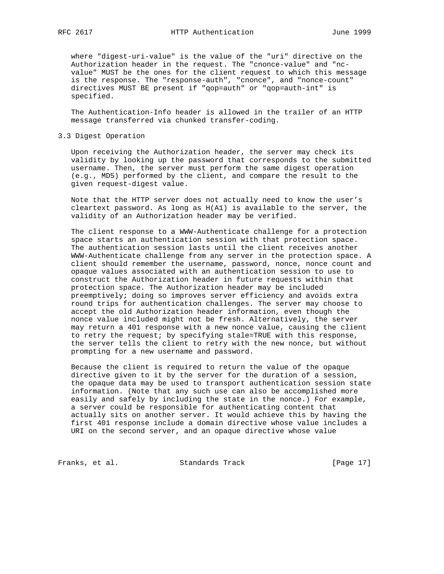where "digest-uri-value" is the value of the "uri" directive on the Authorization header in the request. The "cnonce-value" and "nc value" MUST be the ones for the client request to which this message is the response. The "response-auth", "cnonce", and "nonce-count" directives MUST BE present if "qop=auth" or "qop=auth-int" is specified.

 The Authentication-Info header is allowed in the trailer of an HTTP message transferred via chunked transfer-coding.

## 3.3 Digest Operation

 Upon receiving the Authorization header, the server may check its validity by looking up the password that corresponds to the submitted username. Then, the server must perform the same digest operation (e.g., MD5) performed by the client, and compare the result to the given request-digest value.

 Note that the HTTP server does not actually need to know the user's cleartext password. As long as H(A1) is available to the server, the validity of an Authorization header may be verified.

 The client response to a WWW-Authenticate challenge for a protection space starts an authentication session with that protection space. The authentication session lasts until the client receives another WWW-Authenticate challenge from any server in the protection space. A client should remember the username, password, nonce, nonce count and opaque values associated with an authentication session to use to construct the Authorization header in future requests within that protection space. The Authorization header may be included preemptively; doing so improves server efficiency and avoids extra round trips for authentication challenges. The server may choose to accept the old Authorization header information, even though the nonce value included might not be fresh. Alternatively, the server may return a 401 response with a new nonce value, causing the client to retry the request; by specifying stale=TRUE with this response, the server tells the client to retry with the new nonce, but without prompting for a new username and password.

 Because the client is required to return the value of the opaque directive given to it by the server for the duration of a session, the opaque data may be used to transport authentication session state information. (Note that any such use can also be accomplished more easily and safely by including the state in the nonce.) For example, a server could be responsible for authenticating content that actually sits on another server. It would achieve this by having the first 401 response include a domain directive whose value includes a URI on the second server, and an opaque directive whose value

Franks, et al. Standards Track [Page 17]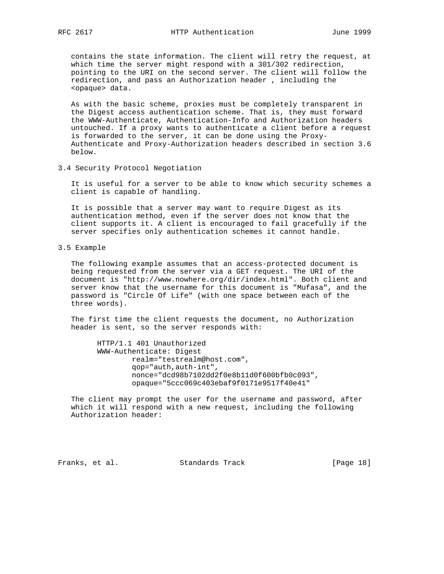contains the state information. The client will retry the request, at which time the server might respond with a 301/302 redirection, pointing to the URI on the second server. The client will follow the redirection, and pass an Authorization header , including the <opaque> data.

 As with the basic scheme, proxies must be completely transparent in the Digest access authentication scheme. That is, they must forward the WWW-Authenticate, Authentication-Info and Authorization headers untouched. If a proxy wants to authenticate a client before a request is forwarded to the server, it can be done using the Proxy- Authenticate and Proxy-Authorization headers described in section 3.6 below.

3.4 Security Protocol Negotiation

 It is useful for a server to be able to know which security schemes a client is capable of handling.

 It is possible that a server may want to require Digest as its authentication method, even if the server does not know that the client supports it. A client is encouraged to fail gracefully if the server specifies only authentication schemes it cannot handle.

3.5 Example

 The following example assumes that an access-protected document is being requested from the server via a GET request. The URI of the document is "http://www.nowhere.org/dir/index.html". Both client and server know that the username for this document is "Mufasa", and the password is "Circle Of Life" (with one space between each of the three words).

 The first time the client requests the document, no Authorization header is sent, so the server responds with:

 HTTP/1.1 401 Unauthorized WWW-Authenticate: Digest realm="testrealm@host.com", qop="auth,auth-int", nonce="dcd98b7102dd2f0e8b11d0f600bfb0c093", opaque="5ccc069c403ebaf9f0171e9517f40e41"

 The client may prompt the user for the username and password, after which it will respond with a new request, including the following Authorization header:

Franks, et al. Standards Track [Page 18]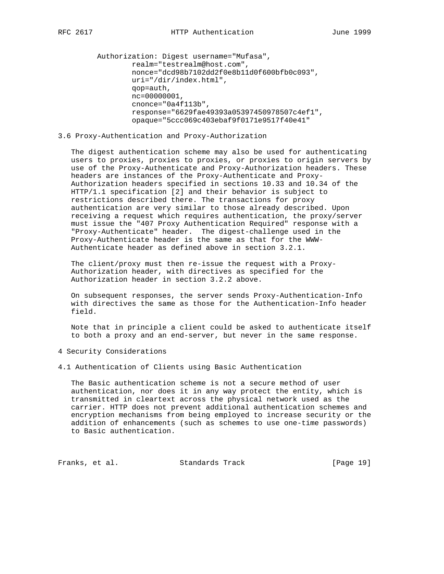```
 Authorization: Digest username="Mufasa",
         realm="testrealm@host.com",
         nonce="dcd98b7102dd2f0e8b11d0f600bfb0c093",
         uri="/dir/index.html",
         qop=auth,
         nc=00000001,
         cnonce="0a4f113b",
         response="6629fae49393a05397450978507c4ef1",
         opaque="5ccc069c403ebaf9f0171e9517f40e41"
```
## 3.6 Proxy-Authentication and Proxy-Authorization

 The digest authentication scheme may also be used for authenticating users to proxies, proxies to proxies, or proxies to origin servers by use of the Proxy-Authenticate and Proxy-Authorization headers. These headers are instances of the Proxy-Authenticate and Proxy- Authorization headers specified in sections 10.33 and 10.34 of the HTTP/1.1 specification [2] and their behavior is subject to restrictions described there. The transactions for proxy authentication are very similar to those already described. Upon receiving a request which requires authentication, the proxy/server must issue the "407 Proxy Authentication Required" response with a "Proxy-Authenticate" header. The digest-challenge used in the Proxy-Authenticate header is the same as that for the WWW- Authenticate header as defined above in section 3.2.1.

 The client/proxy must then re-issue the request with a Proxy- Authorization header, with directives as specified for the Authorization header in section 3.2.2 above.

 On subsequent responses, the server sends Proxy-Authentication-Info with directives the same as those for the Authentication-Info header field.

 Note that in principle a client could be asked to authenticate itself to both a proxy and an end-server, but never in the same response.

#### 4 Security Considerations

# 4.1 Authentication of Clients using Basic Authentication

 The Basic authentication scheme is not a secure method of user authentication, nor does it in any way protect the entity, which is transmitted in cleartext across the physical network used as the carrier. HTTP does not prevent additional authentication schemes and encryption mechanisms from being employed to increase security or the addition of enhancements (such as schemes to use one-time passwords) to Basic authentication.

Franks, et al. Standards Track [Page 19]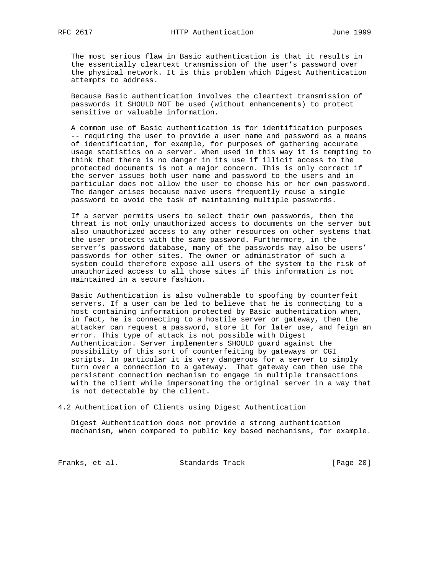The most serious flaw in Basic authentication is that it results in the essentially cleartext transmission of the user's password over the physical network. It is this problem which Digest Authentication attempts to address.

 Because Basic authentication involves the cleartext transmission of passwords it SHOULD NOT be used (without enhancements) to protect sensitive or valuable information.

 A common use of Basic authentication is for identification purposes -- requiring the user to provide a user name and password as a means of identification, for example, for purposes of gathering accurate usage statistics on a server. When used in this way it is tempting to think that there is no danger in its use if illicit access to the protected documents is not a major concern. This is only correct if the server issues both user name and password to the users and in particular does not allow the user to choose his or her own password. The danger arises because naive users frequently reuse a single password to avoid the task of maintaining multiple passwords.

 If a server permits users to select their own passwords, then the threat is not only unauthorized access to documents on the server but also unauthorized access to any other resources on other systems that the user protects with the same password. Furthermore, in the server's password database, many of the passwords may also be users' passwords for other sites. The owner or administrator of such a system could therefore expose all users of the system to the risk of unauthorized access to all those sites if this information is not maintained in a secure fashion.

 Basic Authentication is also vulnerable to spoofing by counterfeit servers. If a user can be led to believe that he is connecting to a host containing information protected by Basic authentication when, in fact, he is connecting to a hostile server or gateway, then the attacker can request a password, store it for later use, and feign an error. This type of attack is not possible with Digest Authentication. Server implementers SHOULD guard against the possibility of this sort of counterfeiting by gateways or CGI scripts. In particular it is very dangerous for a server to simply turn over a connection to a gateway. That gateway can then use the persistent connection mechanism to engage in multiple transactions with the client while impersonating the original server in a way that is not detectable by the client.

4.2 Authentication of Clients using Digest Authentication

 Digest Authentication does not provide a strong authentication mechanism, when compared to public key based mechanisms, for example.

Franks, et al. Standards Track [Page 20]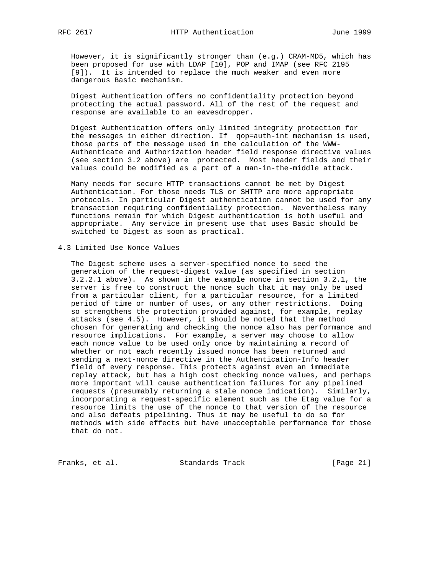However, it is significantly stronger than (e.g.) CRAM-MD5, which has been proposed for use with LDAP [10], POP and IMAP (see RFC 2195 [9]). It is intended to replace the much weaker and even more dangerous Basic mechanism.

 Digest Authentication offers no confidentiality protection beyond protecting the actual password. All of the rest of the request and response are available to an eavesdropper.

 Digest Authentication offers only limited integrity protection for the messages in either direction. If qop=auth-int mechanism is used, those parts of the message used in the calculation of the WWW- Authenticate and Authorization header field response directive values (see section 3.2 above) are protected. Most header fields and their values could be modified as a part of a man-in-the-middle attack.

 Many needs for secure HTTP transactions cannot be met by Digest Authentication. For those needs TLS or SHTTP are more appropriate protocols. In particular Digest authentication cannot be used for any transaction requiring confidentiality protection. Nevertheless many functions remain for which Digest authentication is both useful and appropriate. Any service in present use that uses Basic should be switched to Digest as soon as practical.

4.3 Limited Use Nonce Values

 The Digest scheme uses a server-specified nonce to seed the generation of the request-digest value (as specified in section 3.2.2.1 above). As shown in the example nonce in section 3.2.1, the server is free to construct the nonce such that it may only be used from a particular client, for a particular resource, for a limited period of time or number of uses, or any other restrictions. Doing so strengthens the protection provided against, for example, replay attacks (see 4.5). However, it should be noted that the method chosen for generating and checking the nonce also has performance and resource implications. For example, a server may choose to allow each nonce value to be used only once by maintaining a record of whether or not each recently issued nonce has been returned and sending a next-nonce directive in the Authentication-Info header field of every response. This protects against even an immediate replay attack, but has a high cost checking nonce values, and perhaps more important will cause authentication failures for any pipelined requests (presumably returning a stale nonce indication). Similarly, incorporating a request-specific element such as the Etag value for a resource limits the use of the nonce to that version of the resource and also defeats pipelining. Thus it may be useful to do so for methods with side effects but have unacceptable performance for those that do not.

Franks, et al. Standards Track [Page 21]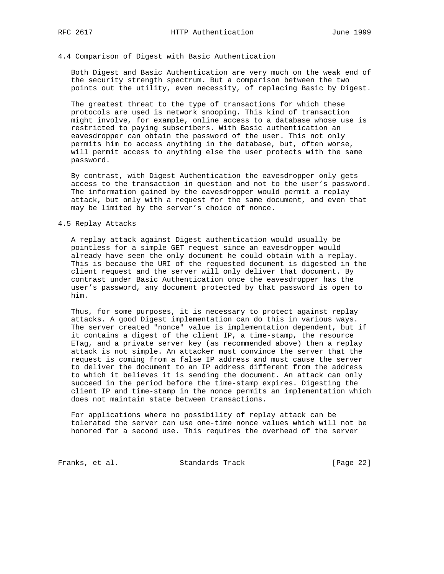#### 4.4 Comparison of Digest with Basic Authentication

 Both Digest and Basic Authentication are very much on the weak end of the security strength spectrum. But a comparison between the two points out the utility, even necessity, of replacing Basic by Digest.

 The greatest threat to the type of transactions for which these protocols are used is network snooping. This kind of transaction might involve, for example, online access to a database whose use is restricted to paying subscribers. With Basic authentication an eavesdropper can obtain the password of the user. This not only permits him to access anything in the database, but, often worse, will permit access to anything else the user protects with the same password.

 By contrast, with Digest Authentication the eavesdropper only gets access to the transaction in question and not to the user's password. The information gained by the eavesdropper would permit a replay attack, but only with a request for the same document, and even that may be limited by the server's choice of nonce.

## 4.5 Replay Attacks

 A replay attack against Digest authentication would usually be pointless for a simple GET request since an eavesdropper would already have seen the only document he could obtain with a replay. This is because the URI of the requested document is digested in the client request and the server will only deliver that document. By contrast under Basic Authentication once the eavesdropper has the user's password, any document protected by that password is open to him.

 Thus, for some purposes, it is necessary to protect against replay attacks. A good Digest implementation can do this in various ways. The server created "nonce" value is implementation dependent, but if it contains a digest of the client IP, a time-stamp, the resource ETag, and a private server key (as recommended above) then a replay attack is not simple. An attacker must convince the server that the request is coming from a false IP address and must cause the server to deliver the document to an IP address different from the address to which it believes it is sending the document. An attack can only succeed in the period before the time-stamp expires. Digesting the client IP and time-stamp in the nonce permits an implementation which does not maintain state between transactions.

 For applications where no possibility of replay attack can be tolerated the server can use one-time nonce values which will not be honored for a second use. This requires the overhead of the server

Franks, et al. Standards Track [Page 22]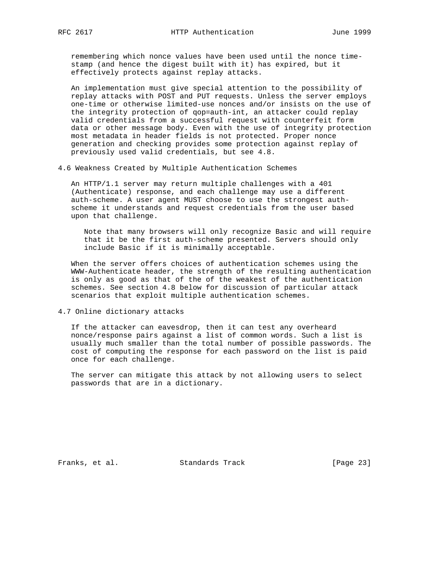remembering which nonce values have been used until the nonce time stamp (and hence the digest built with it) has expired, but it effectively protects against replay attacks.

 An implementation must give special attention to the possibility of replay attacks with POST and PUT requests. Unless the server employs one-time or otherwise limited-use nonces and/or insists on the use of the integrity protection of qop=auth-int, an attacker could replay valid credentials from a successful request with counterfeit form data or other message body. Even with the use of integrity protection most metadata in header fields is not protected. Proper nonce generation and checking provides some protection against replay of previously used valid credentials, but see 4.8.

4.6 Weakness Created by Multiple Authentication Schemes

 An HTTP/1.1 server may return multiple challenges with a 401 (Authenticate) response, and each challenge may use a different auth-scheme. A user agent MUST choose to use the strongest auth scheme it understands and request credentials from the user based upon that challenge.

 Note that many browsers will only recognize Basic and will require that it be the first auth-scheme presented. Servers should only include Basic if it is minimally acceptable.

 When the server offers choices of authentication schemes using the WWW-Authenticate header, the strength of the resulting authentication is only as good as that of the of the weakest of the authentication schemes. See section 4.8 below for discussion of particular attack scenarios that exploit multiple authentication schemes.

4.7 Online dictionary attacks

 If the attacker can eavesdrop, then it can test any overheard nonce/response pairs against a list of common words. Such a list is usually much smaller than the total number of possible passwords. The cost of computing the response for each password on the list is paid once for each challenge.

 The server can mitigate this attack by not allowing users to select passwords that are in a dictionary.

Franks, et al. Standards Track [Page 23]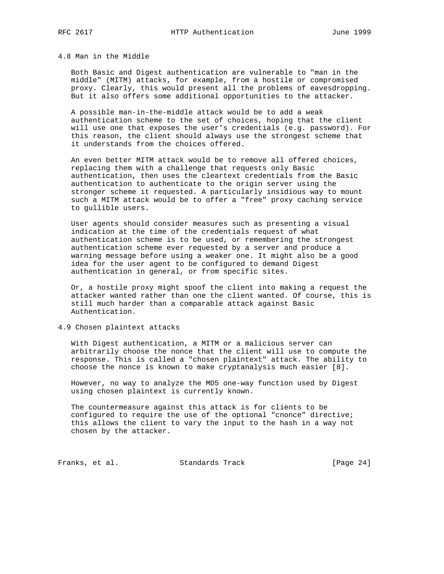# 4.8 Man in the Middle

 Both Basic and Digest authentication are vulnerable to "man in the middle" (MITM) attacks, for example, from a hostile or compromised proxy. Clearly, this would present all the problems of eavesdropping. But it also offers some additional opportunities to the attacker.

 A possible man-in-the-middle attack would be to add a weak authentication scheme to the set of choices, hoping that the client will use one that exposes the user's credentials (e.g. password). For this reason, the client should always use the strongest scheme that it understands from the choices offered.

 An even better MITM attack would be to remove all offered choices, replacing them with a challenge that requests only Basic authentication, then uses the cleartext credentials from the Basic authentication to authenticate to the origin server using the stronger scheme it requested. A particularly insidious way to mount such a MITM attack would be to offer a "free" proxy caching service to gullible users.

 User agents should consider measures such as presenting a visual indication at the time of the credentials request of what authentication scheme is to be used, or remembering the strongest authentication scheme ever requested by a server and produce a warning message before using a weaker one. It might also be a good idea for the user agent to be configured to demand Digest authentication in general, or from specific sites.

 Or, a hostile proxy might spoof the client into making a request the attacker wanted rather than one the client wanted. Of course, this is still much harder than a comparable attack against Basic Authentication.

4.9 Chosen plaintext attacks

 With Digest authentication, a MITM or a malicious server can arbitrarily choose the nonce that the client will use to compute the response. This is called a "chosen plaintext" attack. The ability to choose the nonce is known to make cryptanalysis much easier [8].

 However, no way to analyze the MD5 one-way function used by Digest using chosen plaintext is currently known.

 The countermeasure against this attack is for clients to be configured to require the use of the optional "cnonce" directive; this allows the client to vary the input to the hash in a way not chosen by the attacker.

Franks, et al. Standards Track [Page 24]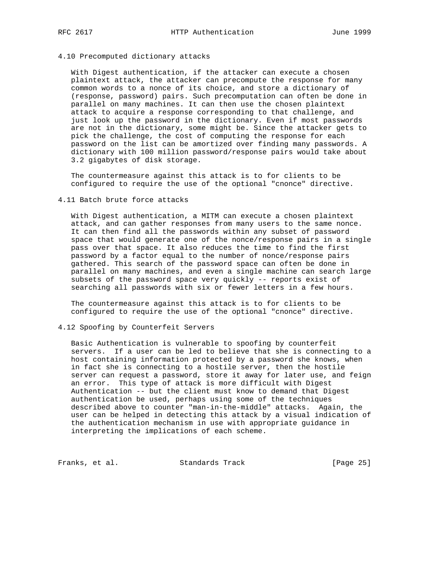## 4.10 Precomputed dictionary attacks

 With Digest authentication, if the attacker can execute a chosen plaintext attack, the attacker can precompute the response for many common words to a nonce of its choice, and store a dictionary of (response, password) pairs. Such precomputation can often be done in parallel on many machines. It can then use the chosen plaintext attack to acquire a response corresponding to that challenge, and just look up the password in the dictionary. Even if most passwords are not in the dictionary, some might be. Since the attacker gets to pick the challenge, the cost of computing the response for each password on the list can be amortized over finding many passwords. A dictionary with 100 million password/response pairs would take about 3.2 gigabytes of disk storage.

 The countermeasure against this attack is to for clients to be configured to require the use of the optional "cnonce" directive.

## 4.11 Batch brute force attacks

 With Digest authentication, a MITM can execute a chosen plaintext attack, and can gather responses from many users to the same nonce. It can then find all the passwords within any subset of password space that would generate one of the nonce/response pairs in a single pass over that space. It also reduces the time to find the first password by a factor equal to the number of nonce/response pairs gathered. This search of the password space can often be done in parallel on many machines, and even a single machine can search large subsets of the password space very quickly -- reports exist of searching all passwords with six or fewer letters in a few hours.

 The countermeasure against this attack is to for clients to be configured to require the use of the optional "cnonce" directive.

## 4.12 Spoofing by Counterfeit Servers

 Basic Authentication is vulnerable to spoofing by counterfeit servers. If a user can be led to believe that she is connecting to a host containing information protected by a password she knows, when in fact she is connecting to a hostile server, then the hostile server can request a password, store it away for later use, and feign an error. This type of attack is more difficult with Digest Authentication -- but the client must know to demand that Digest authentication be used, perhaps using some of the techniques described above to counter "man-in-the-middle" attacks. Again, the user can be helped in detecting this attack by a visual indication of the authentication mechanism in use with appropriate guidance in interpreting the implications of each scheme.

Franks, et al. Standards Track [Page 25]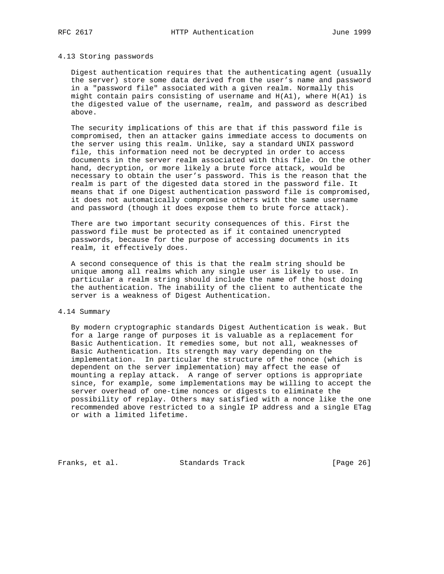## 4.13 Storing passwords

 Digest authentication requires that the authenticating agent (usually the server) store some data derived from the user's name and password in a "password file" associated with a given realm. Normally this might contain pairs consisting of username and  $H(A1)$ , where  $H(A1)$  is the digested value of the username, realm, and password as described above.

 The security implications of this are that if this password file is compromised, then an attacker gains immediate access to documents on the server using this realm. Unlike, say a standard UNIX password file, this information need not be decrypted in order to access documents in the server realm associated with this file. On the other hand, decryption, or more likely a brute force attack, would be necessary to obtain the user's password. This is the reason that the realm is part of the digested data stored in the password file. It means that if one Digest authentication password file is compromised, it does not automatically compromise others with the same username and password (though it does expose them to brute force attack).

 There are two important security consequences of this. First the password file must be protected as if it contained unencrypted passwords, because for the purpose of accessing documents in its realm, it effectively does.

 A second consequence of this is that the realm string should be unique among all realms which any single user is likely to use. In particular a realm string should include the name of the host doing the authentication. The inability of the client to authenticate the server is a weakness of Digest Authentication.

## 4.14 Summary

 By modern cryptographic standards Digest Authentication is weak. But for a large range of purposes it is valuable as a replacement for Basic Authentication. It remedies some, but not all, weaknesses of Basic Authentication. Its strength may vary depending on the implementation. In particular the structure of the nonce (which is dependent on the server implementation) may affect the ease of mounting a replay attack. A range of server options is appropriate since, for example, some implementations may be willing to accept the server overhead of one-time nonces or digests to eliminate the possibility of replay. Others may satisfied with a nonce like the one recommended above restricted to a single IP address and a single ETag or with a limited lifetime.

Franks, et al. Standards Track [Page 26]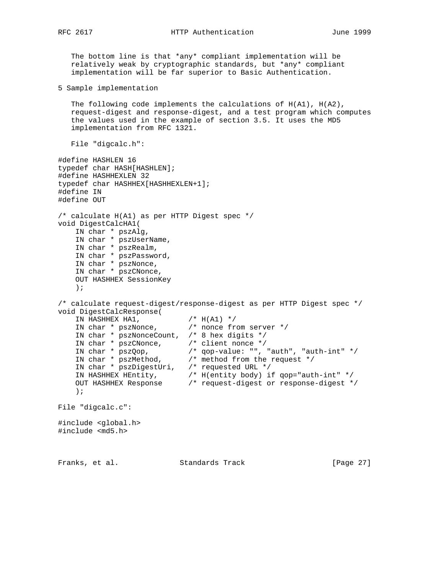```
 The bottom line is that *any* compliant implementation will be
   relatively weak by cryptographic standards, but *any* compliant
   implementation will be far superior to Basic Authentication.
5 Sample implementation
   The following code implements the calculations of H(A1), H(A2),
   request-digest and response-digest, and a test program which computes
   the values used in the example of section 3.5. It uses the MD5
   implementation from RFC 1321.
   File "digcalc.h":
#define HASHLEN 16
typedef char HASH[HASHLEN];
#define HASHHEXLEN 32
typedef char HASHHEX[HASHHEXLEN+1];
#define IN
#define OUT
/* calculate H(A1) as per HTTP Digest spec */
void DigestCalcHA1(
    IN char * pszAlg,
    IN char * pszUserName,
    IN char * pszRealm,
 IN char * pszPassword,
 IN char * pszNonce,
    IN char * pszCNonce,
    OUT HASHHEX SessionKey
    );
/* calculate request-digest/response-digest as per HTTP Digest spec */
void DigestCalcResponse(
IN HASHHEX HA1, / /* H(A1) */
 IN char * pszNonce, /* nonce from server */
    IN char * pszNonceCount, /* 8 hex digits */
 IN char * pszCNonce, /* client nonce */
 IN char * pszQop, /* qop-value: "", "auth", "auth-int" */
 IN char * pszMethod, /* method from the request */
 IN char * pszDigestUri, /* requested URL */
 IN HASHHEX HEntity, /* H(entity body) if qop="auth-int" */
 OUT HASHHEX Response /* request-digest or response-digest */
    );
File "digcalc.c":
#include <global.h>
#include <md5.h>
Franks, et al. Standards Track [Page 27]
```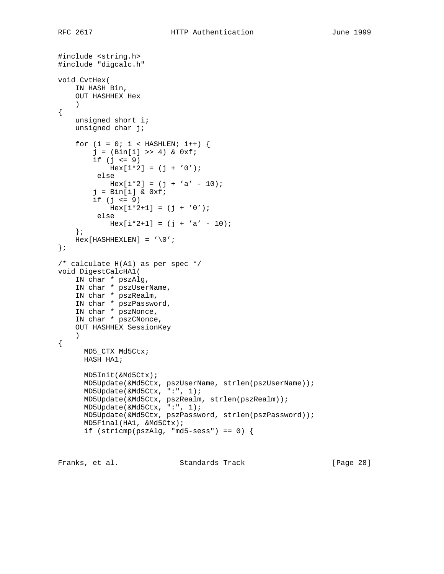```
#include <string.h>
#include "digcalc.h"
void CvtHex(
     IN HASH Bin,
     OUT HASHHEX Hex
     )
{
    unsigned short i;
     unsigned char j;
    for (i = 0; i < HASHLEN; i^{++} {
        j = (Bin[i] >> 4) & 0xf;
        if (j \leq 9)Hex[i * 2] = (j + '0'); else
           Hex[i * 2] = (j + 'a' - 10);j = Bin[i] & 0xf;
        if (j \leq 9)Hex[i*2+1] = (j + '0'); else
            Hex[i*2+1] = (j + 'a' - 10); };
    Hex[HASHHEXLEN] = ' \0';};
/* calculate H(A1) as per spec */
void DigestCalcHA1(
     IN char * pszAlg,
     IN char * pszUserName,
     IN char * pszRealm,
     IN char * pszPassword,
     IN char * pszNonce,
     IN char * pszCNonce,
     OUT HASHHEX SessionKey
     )
{
       MD5_CTX Md5Ctx;
       HASH HA1;
       MD5Init(&Md5Ctx);
       MD5Update(&Md5Ctx, pszUserName, strlen(pszUserName));
       MD5Update(&Md5Ctx, ":", 1);
       MD5Update(&Md5Ctx, pszRealm, strlen(pszRealm));
       MD5Update(&Md5Ctx, ":", 1);
       MD5Update(&Md5Ctx, pszPassword, strlen(pszPassword));
       MD5Final(HA1, &Md5Ctx);
      if (stricmp(pszAlg, "md5-sess") == 0)
```
Franks, et al. Standards Track [Page 28]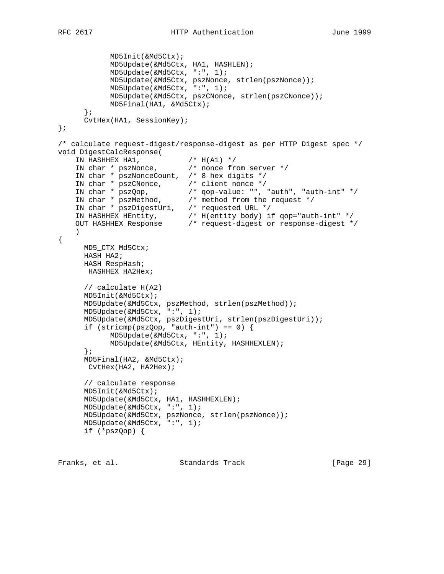```
 MD5Init(&Md5Ctx);
            MD5Update(&Md5Ctx, HA1, HASHLEN);
            MD5Update(&Md5Ctx, ":", 1);
            MD5Update(&Md5Ctx, pszNonce, strlen(pszNonce));
            MD5Update(&Md5Ctx, ":", 1);
            MD5Update(&Md5Ctx, pszCNonce, strlen(pszCNonce));
            MD5Final(HA1, &Md5Ctx);
       };
      CvtHex(HA1, SessionKey);
};
/* calculate request-digest/response-digest as per HTTP Digest spec */
void DigestCalcResponse(
IN HASHHEX HA1, / /* H(A1) */
 IN char * pszNonce, /* nonce from server */
    IN char * pszNonceCount, /* 8 hex digits */
 IN char * pszCNonce, /* client nonce */
 IN char * pszQop, /* qop-value: "", "auth", "auth-int" */
 IN char * pszMethod, /* method from the request */
 IN char * pszDigestUri, /* requested URL */
 IN HASHHEX HEntity, /* H(entity body) if qop="auth-int" */
 OUT HASHHEX Response /* request-digest or response-digest */
    )
{
      MD5_CTX Md5Ctx;
      HASH HA2;
      HASH RespHash;
       HASHHEX HA2Hex;
      // calculate H(A2)
      MD5Init(&Md5Ctx);
      MD5Update(&Md5Ctx, pszMethod, strlen(pszMethod));
      MD5Update(&Md5Ctx, ":", 1);
      MD5Update(&Md5Ctx, pszDigestUri, strlen(pszDigestUri));
     if (stricmp(pszQop, "auth-int") == 0) {
            MD5Update(&Md5Ctx, ":", 1);
            MD5Update(&Md5Ctx, HEntity, HASHHEXLEN);
       };
      MD5Final(HA2, &Md5Ctx);
       CvtHex(HA2, HA2Hex);
      // calculate response
      MD5Init(&Md5Ctx);
      MD5Update(&Md5Ctx, HA1, HASHHEXLEN);
      MD5Update(&Md5Ctx, ":", 1);
      MD5Update(&Md5Ctx, pszNonce, strlen(pszNonce));
      MD5Update(&Md5Ctx, ":", 1);
      if (*pszQop) {
```
Franks, et al. Standards Track [Page 29]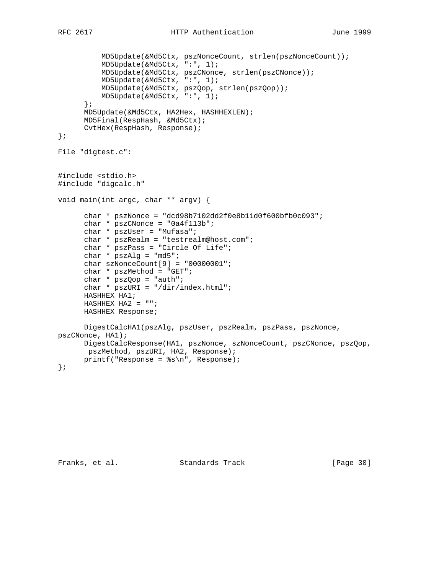```
 MD5Update(&Md5Ctx, pszNonceCount, strlen(pszNonceCount));
           MD5Update(&Md5Ctx, ":", 1);
           MD5Update(&Md5Ctx, pszCNonce, strlen(pszCNonce));
           MD5Update(&Md5Ctx, ":", 1);
           MD5Update(&Md5Ctx, pszQop, strlen(pszQop));
           MD5Update(&Md5Ctx, ":", 1);
       };
       MD5Update(&Md5Ctx, HA2Hex, HASHHEXLEN);
       MD5Final(RespHash, &Md5Ctx);
       CvtHex(RespHash, Response);
};
File "digtest.c":
#include <stdio.h>
#include "digcalc.h"
void main(int argc, char ** argv) {
      char * pszNonce = "dcd98b7102dd2f0e8b11d0f600bfbb0c093";
      char * pszCNonce = "0a4f113b";
       char * pszUser = "Mufasa";
       char * pszRealm = "testrealm@host.com";
      char * pszPass = "Circle Of Life";
      char * pszAlg = "md5";
      char szNonceCount[9] = "00000001";
       char * pszMethod = "GET";
       char * pszQop = "auth";
      char * pszURI = "/dir/index.html";
       HASHHEX HA1;
      HASHHEX HA2 = "";
      HASHHEX Response;
      DigestCalcHA1(pszAlg, pszUser, pszRealm, pszPass, pszNonce,
pszCNonce, HA1);
      DigestCalcResponse(HA1, pszNonce, szNonceCount, pszCNonce, pszQop,
       pszMethod, pszURI, HA2, Response);
       printf("Response = %s\n", Response);
};
```
Franks, et al. Standards Track [Page 30]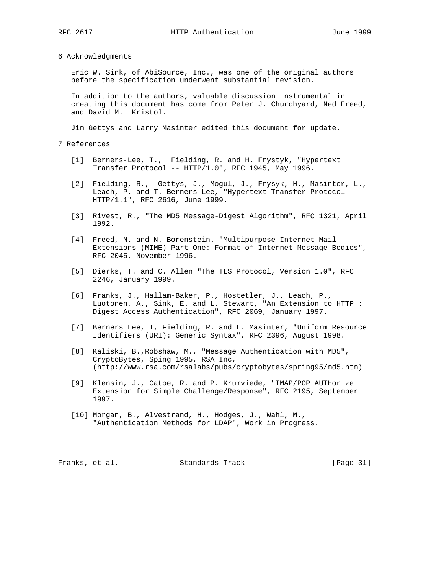6 Acknowledgments

 Eric W. Sink, of AbiSource, Inc., was one of the original authors before the specification underwent substantial revision.

 In addition to the authors, valuable discussion instrumental in creating this document has come from Peter J. Churchyard, Ned Freed, and David M. Kristol.

Jim Gettys and Larry Masinter edited this document for update.

7 References

- [1] Berners-Lee, T., Fielding, R. and H. Frystyk, "Hypertext Transfer Protocol -- HTTP/1.0", RFC 1945, May 1996.
	- [2] Fielding, R., Gettys, J., Mogul, J., Frysyk, H., Masinter, L., Leach, P. and T. Berners-Lee, "Hypertext Transfer Protocol -- HTTP/1.1", RFC 2616, June 1999.
	- [3] Rivest, R., "The MD5 Message-Digest Algorithm", RFC 1321, April 1992.
	- [4] Freed, N. and N. Borenstein. "Multipurpose Internet Mail Extensions (MIME) Part One: Format of Internet Message Bodies", RFC 2045, November 1996.
	- [5] Dierks, T. and C. Allen "The TLS Protocol, Version 1.0", RFC 2246, January 1999.
	- [6] Franks, J., Hallam-Baker, P., Hostetler, J., Leach, P., Luotonen, A., Sink, E. and L. Stewart, "An Extension to HTTP : Digest Access Authentication", RFC 2069, January 1997.
	- [7] Berners Lee, T, Fielding, R. and L. Masinter, "Uniform Resource Identifiers (URI): Generic Syntax", RFC 2396, August 1998.
	- [8] Kaliski, B.,Robshaw, M., "Message Authentication with MD5", CryptoBytes, Sping 1995, RSA Inc, (http://www.rsa.com/rsalabs/pubs/cryptobytes/spring95/md5.htm)
	- [9] Klensin, J., Catoe, R. and P. Krumviede, "IMAP/POP AUTHorize Extension for Simple Challenge/Response", RFC 2195, September 1997.
	- [10] Morgan, B., Alvestrand, H., Hodges, J., Wahl, M., "Authentication Methods for LDAP", Work in Progress.

Franks, et al. Standards Track [Page 31]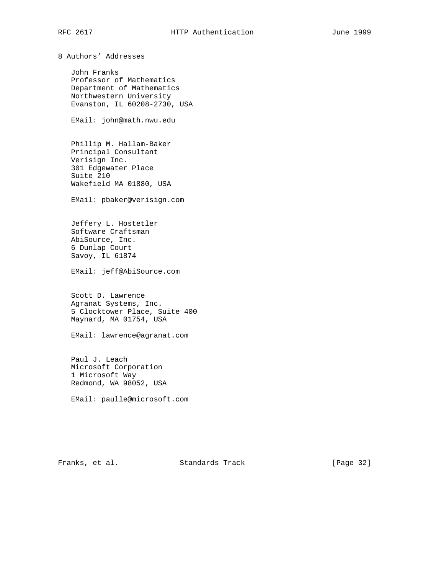8 Authors' Addresses

 John Franks Professor of Mathematics Department of Mathematics Northwestern University Evanston, IL 60208-2730, USA

EMail: john@math.nwu.edu

 Phillip M. Hallam-Baker Principal Consultant Verisign Inc. 301 Edgewater Place Suite 210 Wakefield MA 01880, USA

EMail: pbaker@verisign.com

 Jeffery L. Hostetler Software Craftsman AbiSource, Inc. 6 Dunlap Court Savoy, IL 61874

EMail: jeff@AbiSource.com

 Scott D. Lawrence Agranat Systems, Inc. 5 Clocktower Place, Suite 400 Maynard, MA 01754, USA

EMail: lawrence@agranat.com

 Paul J. Leach Microsoft Corporation 1 Microsoft Way Redmond, WA 98052, USA

EMail: paulle@microsoft.com

Franks, et al. Standards Track [Page 32]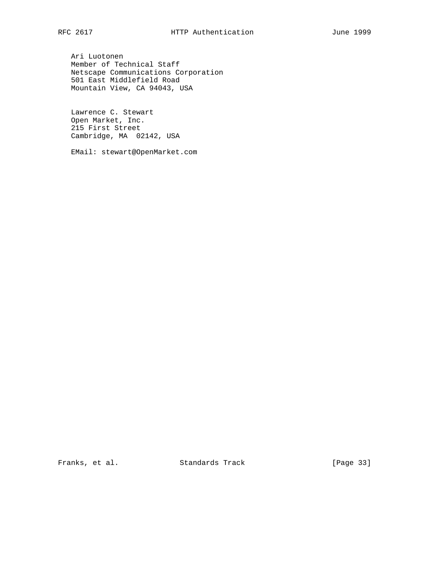Ari Luotonen Member of Technical Staff Netscape Communications Corporation 501 East Middlefield Road Mountain View, CA 94043, USA

 Lawrence C. Stewart Open Market, Inc. 215 First Street Cambridge, MA 02142, USA

EMail: stewart@OpenMarket.com

Franks, et al. Standards Track [Page 33]